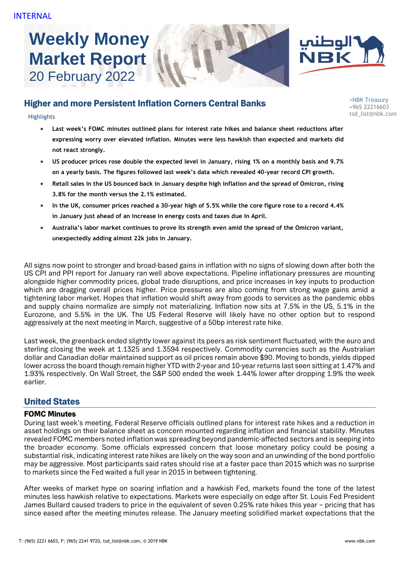# **Weekly Money Market Report** 20 February 2022





## Higher and more Persistent Inflation Corners Central Banks

- **Last week's FOMC minutes outlined plans for interest rate hikes and balance sheet reductions after expressing worry over elevated inflation. Minutes were less hawkish than expected and markets did not react strongly.**
- **US producer prices rose double the expected level in January, rising 1% on a monthly basis and 9.7% on a yearly basis. The figures followed last week's data which revealed 40-year record CPI growth.**
- **Retail sales in the US bounced back in January despite high inflation and the spread of Omicron, rising 3.8% for the month versus the 2.1% estimated.**
- **In the UK, consumer prices reached a 30-year high of 5.5% while the core figure rose to a record 4.4% in January just ahead of an increase in energy costs and taxes due in April.**
- **Australia's labor market continues to prove its strength even amid the spread of the Omicron variant, unexpectedly adding almost 22k jobs in January.**

All signs now point to stronger and broad-based gains in inflation with no signs of slowing down after both the US CPI and PPI report for January ran well above expectations. Pipeline inflationary pressures are mounting alongside higher commodity prices, global trade disruptions, and price increases in key inputs to production which are dragging overall prices higher. Price pressures are also coming from strong wage gains amid a tightening labor market. Hopes that inflation would shift away from goods to services as the pandemic ebbs and supply chains normalize are simply not materializing. Inflation now sits at 7.5% in the US, 5.1% in the Eurozone, and 5.5% in the UK. The US Federal Reserve will likely have no other option but to respond aggressively at the next meeting in March, suggestive of a 50bp interest rate hike.

Last week, the greenback ended slightly lower against its peers as risk sentiment fluctuated, with the euro and sterling closing the week at 1.1325 and 1.3594 respectively. Commodity currencies such as the Australian dollar and Canadian dollar maintained support as oil prices remain above \$90. Moving to bonds, yields dipped lower across the board though remain higher YTD with 2-year and 10-year returns last seen sitting at 1.47% and 1.93% respectively. On Wall Street, the S&P 500 ended the week 1.44% lower after dropping 1.9% the week earlier.

## United States

## FOMC Minutes

During last week's meeting, Federal Reserve officials outlined plans for interest rate hikes and a reduction in asset holdings on their balance sheet as concern mounted regarding inflation and financial stability. Minutes revealed FOMC members noted inflation was spreading beyond pandemic-affected sectors and is seeping into the broader economy. Some officials expressed concern that loose monetary policy could be posing a substantial risk, indicating interest rate hikes are likely on the way soon and an unwinding of the bond portfolio may be aggressive. Most participants said rates should rise at a faster pace than 2015 which was no surprise to markets since the Fed waited a full year in 2015 in between tightening.

After weeks of market hype on soaring inflation and a hawkish Fed, markets found the tone of the latest minutes less hawkish relative to expectations. Markets were especially on edge after St. Louis Fed President James Bullard caused traders to price in the equivalent of seven 0.25% rate hikes this year – pricing that has since eased after the meeting minutes release. The January meeting solidified market expectations that the

>NBK Treasury +965 22216603 tsd\_list@nbk.com Highlights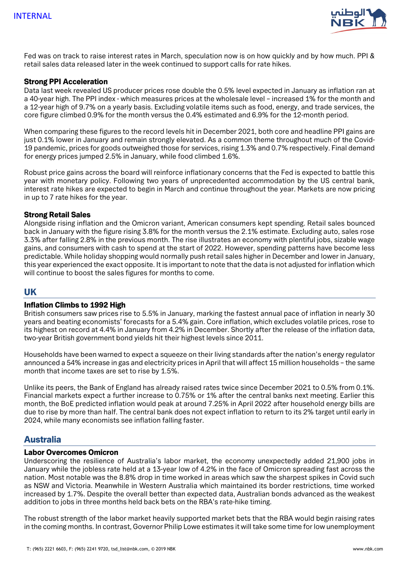

Fed was on track to raise interest rates in March, speculation now is on how quickly and by how much. PPI & retail sales data released later in the week continued to support calls for rate hikes.

## Strong PPI Acceleration

Data last week revealed US producer prices rose double the 0.5% level expected in January as inflation ran at a 40-year high. The PPI index - which measures prices at the wholesale level – increased 1% for the month and a 12-year high of 9.7% on a yearly basis. Excluding volatile items such as food, energy, and trade services, the core figure climbed 0.9% for the month versus the 0.4% estimated and 6.9% for the 12-month period.

When comparing these figures to the record levels hit in December 2021, both core and headline PPI gains are just 0.1% lower in January and remain strongly elevated. As a common theme throughout much of the Covid-19 pandemic, prices for goods outweighed those for services, rising 1.3% and 0.7% respectively. Final demand for energy prices jumped 2.5% in January, while food climbed 1.6%.

Robust price gains across the board will reinforce inflationary concerns that the Fed is expected to battle this year with monetary policy. Following two years of unprecedented accommodation by the US central bank, interest rate hikes are expected to begin in March and continue throughout the year. Markets are now pricing in up to 7 rate hikes for the year.

#### Strong Retail Sales

Alongside rising inflation and the Omicron variant, American consumers kept spending. Retail sales bounced back in January with the figure rising 3.8% for the month versus the 2.1% estimate. Excluding auto, sales rose 3.3% after falling 2.8% in the previous month. The rise illustrates an economy with plentiful jobs, sizable wage gains, and consumers with cash to spend at the start of 2022. However, spending patterns have become less predictable. While holiday shopping would normally push retail sales higher in December and lower in January, this year experienced the exact opposite. It is important to note that the data is not adjusted for inflation which will continue to boost the sales figures for months to come.

## UK

## Inflation Climbs to 1992 High

British consumers saw prices rise to 5.5% in January, marking the fastest annual pace of inflation in nearly 30 years and beating economists' forecasts for a 5.4% gain. Core inflation, which excludes volatile prices, rose to its highest on record at 4.4% in January from 4.2% in December. Shortly after the release of the inflation data, two-year British government bond yields hit their highest levels since 2011.

Households have been warned to expect a squeeze on their living standards after the nation's energy regulator announced a 54% increase in gas and electricity prices in April that will affect 15 million households – the same month that income taxes are set to rise by 1.5%.

Unlike its peers, the Bank of England has already raised rates twice since December 2021 to 0.5% from 0.1%. Financial markets expect a further increase to 0.75% or 1% after the central banks next meeting. Earlier this month, the BoE predicted inflation would peak at around 7.25% in April 2022 after household energy bills are due to rise by more than half. The central bank does not expect inflation to return to its 2% target until early in 2024, while many economists see inflation falling faster.

## Australia

#### Labor Overcomes Omicron

Underscoring the resilience of Australia's labor market, the economy unexpectedly added 21,900 jobs in January while the jobless rate held at a 13-year low of 4.2% in the face of Omicron spreading fast across the nation. Most notable was the 8.8% drop in time worked in areas which saw the sharpest spikes in Covid such as NSW and Victoria. Meanwhile in Western Australia which maintained its border restrictions, time worked increased by 1.7%. Despite the overall better than expected data, Australian bonds advanced as the weakest addition to jobs in three months held back bets on the RBA's rate-hike timing.

The robust strength of the labor market heavily supported market bets that the RBA would begin raising rates in the coming months. In contrast, Governor Philip Lowe estimates it will take some time for low unemployment